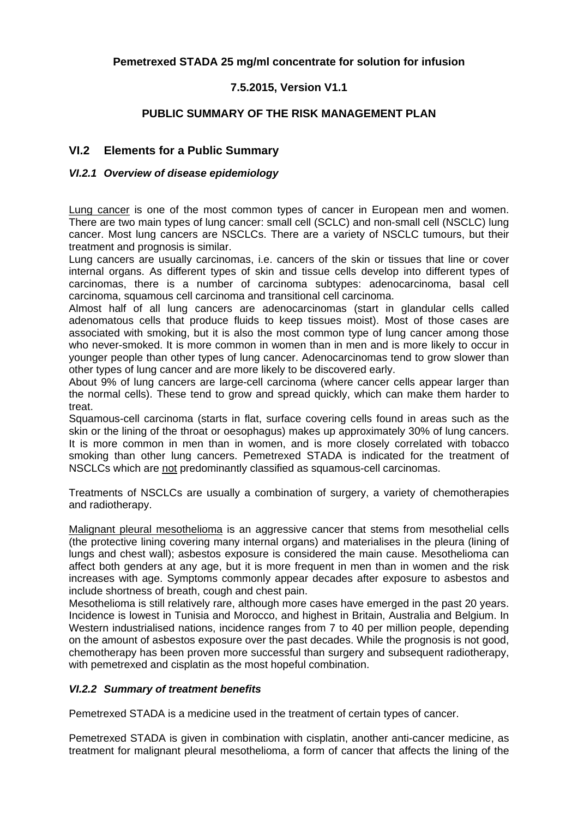## **Pemetrexed STADA 25 mg/ml concentrate for solution for infusion**

## **7.5.2015, Version V1.1**

## **PUBLIC SUMMARY OF THE RISK MANAGEMENT PLAN**

## **VI.2 Elements for a Public Summary**

#### *VI.2.1 Overview of disease epidemiology*

Lung cancer is one of the most common types of cancer in European men and women. There are two main types of lung cancer: small cell (SCLC) and non-small cell (NSCLC) lung cancer. Most lung cancers are NSCLCs. There are a variety of NSCLC tumours, but their treatment and prognosis is similar.

Lung cancers are usually carcinomas, i.e. cancers of the skin or tissues that line or cover internal organs. As different types of skin and tissue cells develop into different types of carcinomas, there is a number of carcinoma subtypes: adenocarcinoma, basal cell carcinoma, squamous cell carcinoma and transitional cell carcinoma.

Almost half of all lung cancers are adenocarcinomas (start in glandular cells called adenomatous cells that produce fluids to keep tissues moist). Most of those cases are associated with smoking, but it is also the most common type of lung cancer among those who never-smoked. It is more common in women than in men and is more likely to occur in younger people than other types of lung cancer. Adenocarcinomas tend to grow slower than other types of lung cancer and are more likely to be discovered early.

About 9% of lung cancers are large-cell carcinoma (where cancer cells appear larger than the normal cells). These tend to grow and spread quickly, which can make them harder to treat.

Squamous-cell carcinoma (starts in flat, surface covering cells found in areas such as the skin or the lining of the throat or oesophagus) makes up approximately 30% of lung cancers. It is more common in men than in women, and is more closely correlated with tobacco smoking than other lung cancers. Pemetrexed STADA is indicated for the treatment of NSCLCs which are not predominantly classified as squamous-cell carcinomas.

Treatments of NSCLCs are usually a combination of surgery, a variety of chemotherapies and radiotherapy.

Malignant pleural mesothelioma is an aggressive cancer that stems from mesothelial cells (the protective lining covering many internal organs) and materialises in the pleura (lining of lungs and chest wall); asbestos exposure is considered the main cause. Mesothelioma can affect both genders at any age, but it is more frequent in men than in women and the risk increases with age. Symptoms commonly appear decades after exposure to asbestos and include shortness of breath, cough and chest pain.

Mesothelioma is still relatively rare, although more cases have emerged in the past 20 years. Incidence is lowest in Tunisia and Morocco, and highest in Britain, Australia and Belgium. In Western industrialised nations, incidence ranges from 7 to 40 per million people, depending on the amount of asbestos exposure over the past decades. While the prognosis is not good, chemotherapy has been proven more successful than surgery and subsequent radiotherapy, with pemetrexed and cisplatin as the most hopeful combination.

#### *VI.2.2 Summary of treatment benefits*

Pemetrexed STADA is a medicine used in the treatment of certain types of cancer.

Pemetrexed STADA is given in combination with cisplatin, another anti-cancer medicine, as treatment for malignant pleural mesothelioma, a form of cancer that affects the lining of the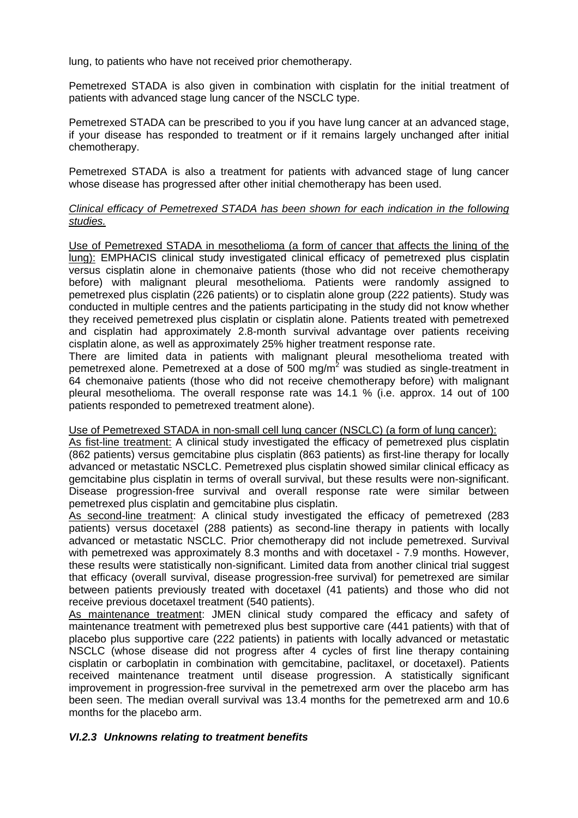lung, to patients who have not received prior chemotherapy.

Pemetrexed STADA is also given in combination with cisplatin for the initial treatment of patients with advanced stage lung cancer of the NSCLC type.

Pemetrexed STADA can be prescribed to you if you have lung cancer at an advanced stage, if your disease has responded to treatment or if it remains largely unchanged after initial chemotherapy.

Pemetrexed STADA is also a treatment for patients with advanced stage of lung cancer whose disease has progressed after other initial chemotherapy has been used.

#### *Clinical efficacy of Pemetrexed STADA has been shown for each indication in the following studies.*

Use of Pemetrexed STADA in mesothelioma (a form of cancer that affects the lining of the lung): EMPHACIS clinical study investigated clinical efficacy of pemetrexed plus cisplatin versus cisplatin alone in chemonaive patients (those who did not receive chemotherapy before) with malignant pleural mesothelioma. Patients were randomly assigned to pemetrexed plus cisplatin (226 patients) or to cisplatin alone group (222 patients). Study was conducted in multiple centres and the patients participating in the study did not know whether they received pemetrexed plus cisplatin or cisplatin alone. Patients treated with pemetrexed and cisplatin had approximately 2.8-month survival advantage over patients receiving cisplatin alone, as well as approximately 25% higher treatment response rate.

There are limited data in patients with malignant pleural mesothelioma treated with pemetrexed alone. Pemetrexed at a dose of 500 mg/m<sup>2</sup> was studied as single-treatment in 64 chemonaive patients (those who did not receive chemotherapy before) with malignant pleural mesothelioma. The overall response rate was 14.1 % (i.e. approx. 14 out of 100 patients responded to pemetrexed treatment alone).

#### Use of Pemetrexed STADA in non-small cell lung cancer (NSCLC) (a form of lung cancer):

As fist-line treatment: A clinical study investigated the efficacy of pemetrexed plus cisplatin (862 patients) versus gemcitabine plus cisplatin (863 patients) as first-line therapy for locally advanced or metastatic NSCLC. Pemetrexed plus cisplatin showed similar clinical efficacy as gemcitabine plus cisplatin in terms of overall survival, but these results were non-significant. Disease progression-free survival and overall response rate were similar between pemetrexed plus cisplatin and gemcitabine plus cisplatin.

As second-line treatment: A clinical study investigated the efficacy of pemetrexed (283 patients) versus docetaxel (288 patients) as second-line therapy in patients with locally advanced or metastatic NSCLC. Prior chemotherapy did not include pemetrexed. Survival with pemetrexed was approximately 8.3 months and with docetaxel - 7.9 months. However, these results were statistically non-significant. Limited data from another clinical trial suggest that efficacy (overall survival, disease progression-free survival) for pemetrexed are similar between patients previously treated with docetaxel (41 patients) and those who did not receive previous docetaxel treatment (540 patients).

As maintenance treatment: JMEN clinical study compared the efficacy and safety of maintenance treatment with pemetrexed plus best supportive care (441 patients) with that of placebo plus supportive care (222 patients) in patients with locally advanced or metastatic NSCLC (whose disease did not progress after 4 cycles of first line therapy containing cisplatin or carboplatin in combination with gemcitabine, paclitaxel, or docetaxel). Patients received maintenance treatment until disease progression. A statistically significant improvement in progression-free survival in the pemetrexed arm over the placebo arm has been seen. The median overall survival was 13.4 months for the pemetrexed arm and 10.6 months for the placebo arm.

#### *VI.2.3 Unknowns relating to treatment benefits*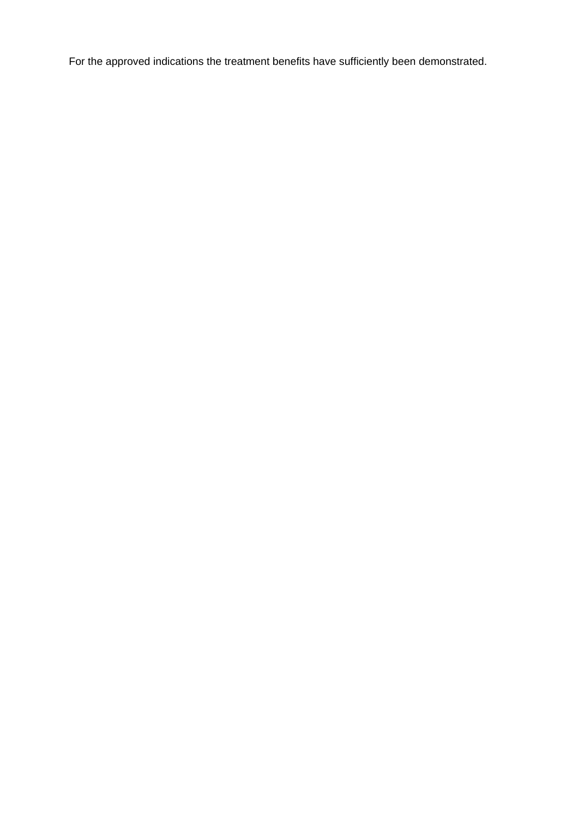For the approved indications the treatment benefits have sufficiently been demonstrated.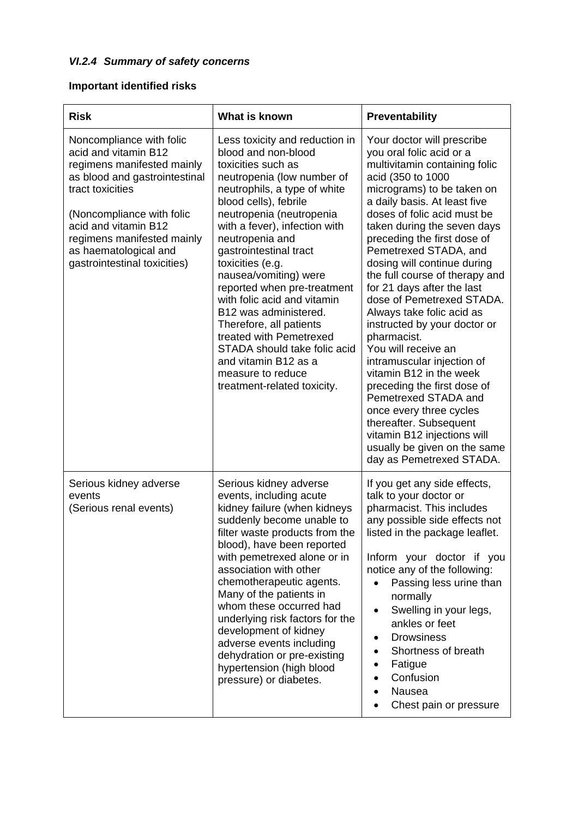# *VI.2.4 Summary of safety concerns*

# **Important identified risks**

| <b>Risk</b>                                                                                                                                                                                                                                                                     | What is known                                                                                                                                                                                                                                                                                                                                                                                                                                                                                                                                                                      | Preventability                                                                                                                                                                                                                                                                                                                                                                                                                                                                                                                                                                                                                                                                                                                                                                                  |
|---------------------------------------------------------------------------------------------------------------------------------------------------------------------------------------------------------------------------------------------------------------------------------|------------------------------------------------------------------------------------------------------------------------------------------------------------------------------------------------------------------------------------------------------------------------------------------------------------------------------------------------------------------------------------------------------------------------------------------------------------------------------------------------------------------------------------------------------------------------------------|-------------------------------------------------------------------------------------------------------------------------------------------------------------------------------------------------------------------------------------------------------------------------------------------------------------------------------------------------------------------------------------------------------------------------------------------------------------------------------------------------------------------------------------------------------------------------------------------------------------------------------------------------------------------------------------------------------------------------------------------------------------------------------------------------|
| Noncompliance with folic<br>acid and vitamin B12<br>regimens manifested mainly<br>as blood and gastrointestinal<br>tract toxicities<br>(Noncompliance with folic<br>acid and vitamin B12<br>regimens manifested mainly<br>as haematological and<br>gastrointestinal toxicities) | Less toxicity and reduction in<br>blood and non-blood<br>toxicities such as<br>neutropenia (low number of<br>neutrophils, a type of white<br>blood cells), febrile<br>neutropenia (neutropenia<br>with a fever), infection with<br>neutropenia and<br>gastrointestinal tract<br>toxicities (e.g.<br>nausea/vomiting) were<br>reported when pre-treatment<br>with folic acid and vitamin<br>B12 was administered.<br>Therefore, all patients<br>treated with Pemetrexed<br>STADA should take folic acid<br>and vitamin B12 as a<br>measure to reduce<br>treatment-related toxicity. | Your doctor will prescribe<br>you oral folic acid or a<br>multivitamin containing folic<br>acid (350 to 1000<br>micrograms) to be taken on<br>a daily basis. At least five<br>doses of folic acid must be<br>taken during the seven days<br>preceding the first dose of<br>Pemetrexed STADA, and<br>dosing will continue during<br>the full course of therapy and<br>for 21 days after the last<br>dose of Pemetrexed STADA.<br>Always take folic acid as<br>instructed by your doctor or<br>pharmacist.<br>You will receive an<br>intramuscular injection of<br>vitamin B12 in the week<br>preceding the first dose of<br>Pemetrexed STADA and<br>once every three cycles<br>thereafter. Subsequent<br>vitamin B12 injections will<br>usually be given on the same<br>day as Pemetrexed STADA. |
| Serious kidney adverse<br>events<br>(Serious renal events)                                                                                                                                                                                                                      | Serious kidney adverse<br>events, including acute<br>kidney failure (when kidneys<br>suddenly become unable to<br>filter waste products from the<br>blood), have been reported<br>with pemetrexed alone or in<br>association with other<br>chemotherapeutic agents.<br>Many of the patients in<br>whom these occurred had<br>underlying risk factors for the<br>development of kidney<br>adverse events including<br>dehydration or pre-existing<br>hypertension (high blood<br>pressure) or diabetes.                                                                             | If you get any side effects,<br>talk to your doctor or<br>pharmacist. This includes<br>any possible side effects not<br>listed in the package leaflet.<br>Inform your doctor if you<br>notice any of the following:<br>Passing less urine than<br>normally<br>Swelling in your legs,<br>ankles or feet<br><b>Drowsiness</b><br>Shortness of breath<br>Fatigue<br>Confusion<br>Nausea<br>Chest pain or pressure                                                                                                                                                                                                                                                                                                                                                                                  |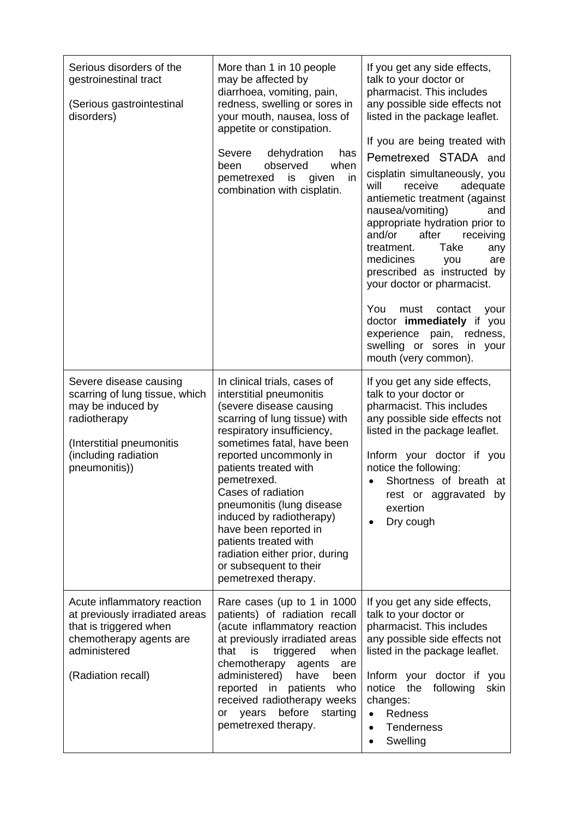| Serious disorders of the<br>gestroinestinal tract<br>(Serious gastrointestinal<br>disorders)                                                                        | More than 1 in 10 people<br>may be affected by<br>diarrhoea, vomiting, pain,<br>redness, swelling or sores in<br>your mouth, nausea, loss of<br>appetite or constipation.<br>Severe<br>dehydration<br>has<br>observed<br>when<br>been<br>pemetrexed<br>is<br>given<br>in<br>combination with cisplatin.                                                                                                                                                                | If you get any side effects,<br>talk to your doctor or<br>pharmacist. This includes<br>any possible side effects not<br>listed in the package leaflet.<br>If you are being treated with<br>Pemetrexed STADA and<br>cisplatin simultaneously, you<br>adequate<br>will<br>receive<br>antiemetic treatment (against<br>nausea/vomiting)<br>and<br>appropriate hydration prior to<br>and/or<br>after<br>receiving<br>Take<br>treatment.<br>any<br>medicines<br>you<br>are<br>prescribed as instructed by<br>your doctor or pharmacist.<br>You<br>must<br>contact<br>your<br>doctor immediately if you<br>experience<br>pain, redness,<br>swelling or sores in your<br>mouth (very common). |
|---------------------------------------------------------------------------------------------------------------------------------------------------------------------|------------------------------------------------------------------------------------------------------------------------------------------------------------------------------------------------------------------------------------------------------------------------------------------------------------------------------------------------------------------------------------------------------------------------------------------------------------------------|----------------------------------------------------------------------------------------------------------------------------------------------------------------------------------------------------------------------------------------------------------------------------------------------------------------------------------------------------------------------------------------------------------------------------------------------------------------------------------------------------------------------------------------------------------------------------------------------------------------------------------------------------------------------------------------|
| Severe disease causing<br>scarring of lung tissue, which<br>may be induced by<br>radiotherapy<br>(Interstitial pneumonitis<br>(including radiation<br>pneumonitis)) | In clinical trials, cases of<br>interstitial pneumonitis<br>(severe disease causing<br>scarring of lung tissue) with<br>respiratory insufficiency,<br>sometimes fatal, have been<br>reported uncommonly in<br>patients treated with<br>pemetrexed.<br>Cases of radiation<br>pneumonitis (lung disease<br>induced by radiotherapy)<br>have been reported in<br>patients treated with<br>radiation either prior, during<br>or subsequent to their<br>pemetrexed therapy. | If you get any side effects,<br>talk to your doctor or<br>pharmacist. This includes<br>any possible side effects not<br>listed in the package leaflet.<br>Inform your doctor if you<br>notice the following:<br>Shortness of breath at<br>rest or aggravated by<br>exertion<br>Dry cough                                                                                                                                                                                                                                                                                                                                                                                               |
| Acute inflammatory reaction<br>at previously irradiated areas<br>that is triggered when<br>chemotherapy agents are<br>administered<br>(Radiation recall)            | Rare cases (up to 1 in 1000<br>patients) of radiation recall<br>(acute inflammatory reaction<br>at previously irradiated areas<br>that<br>triggered<br>is<br>when<br>chemotherapy<br>agents<br>are<br>administered)<br>have<br>been<br>reported in<br>patients<br>who<br>received radiotherapy weeks<br>before<br>years<br>starting<br>or<br>pemetrexed therapy.                                                                                                       | If you get any side effects,<br>talk to your doctor or<br>pharmacist. This includes<br>any possible side effects not<br>listed in the package leaflet.<br>Inform your doctor if<br>you<br>the<br>notice<br>following<br>skin<br>changes:<br>Redness<br><b>Tenderness</b><br>$\bullet$<br>Swelling                                                                                                                                                                                                                                                                                                                                                                                      |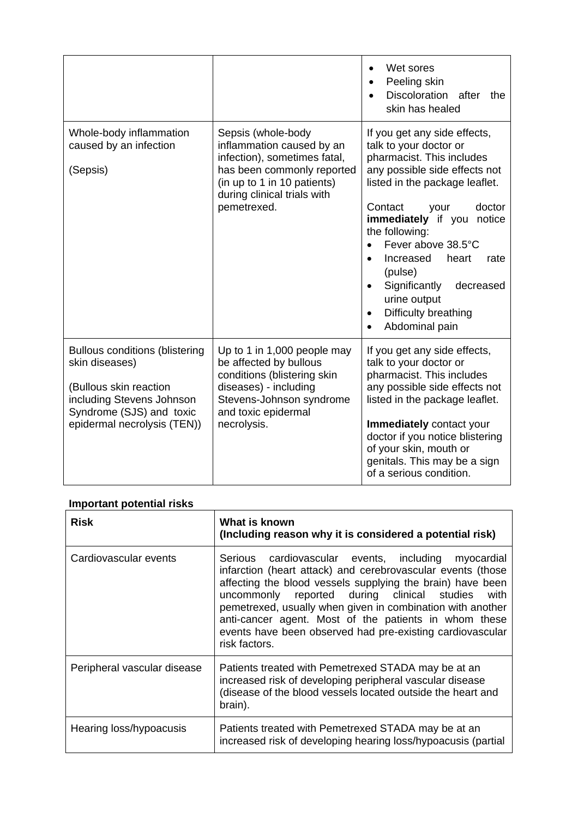|                                                                                                                                                                           |                                                                                                                                                                                            | Wet sores<br>$\bullet$<br>Peeling skin<br>Discoloration after<br>the<br>skin has healed                                                                                                                                                                                                                                                                                                                |
|---------------------------------------------------------------------------------------------------------------------------------------------------------------------------|--------------------------------------------------------------------------------------------------------------------------------------------------------------------------------------------|--------------------------------------------------------------------------------------------------------------------------------------------------------------------------------------------------------------------------------------------------------------------------------------------------------------------------------------------------------------------------------------------------------|
| Whole-body inflammation<br>caused by an infection<br>(Sepsis)                                                                                                             | Sepsis (whole-body<br>inflammation caused by an<br>infection), sometimes fatal,<br>has been commonly reported<br>(in up to 1 in 10 patients)<br>during clinical trials with<br>pemetrexed. | If you get any side effects,<br>talk to your doctor or<br>pharmacist. This includes<br>any possible side effects not<br>listed in the package leaflet.<br>Contact<br>your<br>doctor<br>immediately if you notice<br>the following:<br>Fever above 38.5°C<br>Increased<br>heart<br>rate<br>$\bullet$<br>(pulse)<br>Significantly<br>decreased<br>urine output<br>Difficulty breathing<br>Abdominal pain |
| <b>Bullous conditions (blistering</b><br>skin diseases)<br>(Bullous skin reaction<br>including Stevens Johnson<br>Syndrome (SJS) and toxic<br>epidermal necrolysis (TEN)) | Up to 1 in 1,000 people may<br>be affected by bullous<br>conditions (blistering skin<br>diseases) - including<br>Stevens-Johnson syndrome<br>and toxic epidermal<br>necrolysis.            | If you get any side effects,<br>talk to your doctor or<br>pharmacist. This includes<br>any possible side effects not<br>listed in the package leaflet.<br>Immediately contact your<br>doctor if you notice blistering<br>of your skin, mouth or<br>genitals. This may be a sign<br>of a serious condition.                                                                                             |

## **Important potential risks**

| <b>Risk</b>                 | What is known<br>(Including reason why it is considered a potential risk)                                                                                                                                                                                                                                                                                                                                                                    |
|-----------------------------|----------------------------------------------------------------------------------------------------------------------------------------------------------------------------------------------------------------------------------------------------------------------------------------------------------------------------------------------------------------------------------------------------------------------------------------------|
| Cardiovascular events       | Serious cardiovascular events, including myocardial<br>infarction (heart attack) and cerebrovascular events (those<br>affecting the blood vessels supplying the brain) have been<br>uncommonly reported during clinical studies<br>with<br>pemetrexed, usually when given in combination with another<br>anti-cancer agent. Most of the patients in whom these<br>events have been observed had pre-existing cardiovascular<br>risk factors. |
| Peripheral vascular disease | Patients treated with Pemetrexed STADA may be at an<br>increased risk of developing peripheral vascular disease<br>(disease of the blood vessels located outside the heart and<br>brain).                                                                                                                                                                                                                                                    |
| Hearing loss/hypoacusis     | Patients treated with Pemetrexed STADA may be at an<br>increased risk of developing hearing loss/hypoacusis (partial                                                                                                                                                                                                                                                                                                                         |